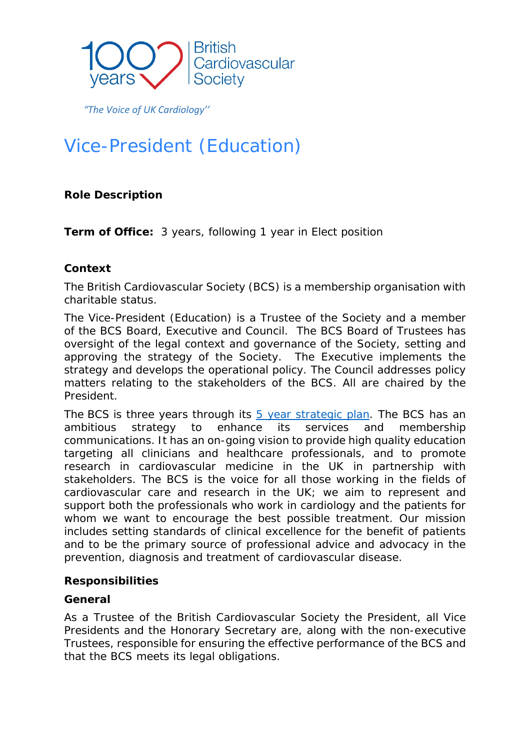

 *"The Voice of UK Cardiology''*

# Vice-President (Education)

## **Role Description**

**Term of Office:** 3 years, following 1 year in Elect position

#### **Context**

The British Cardiovascular Society (BCS) is a membership organisation with charitable status.

The Vice-President (Education) is a Trustee of the Society and a member of the BCS Board, Executive and Council. The BCS Board of Trustees has oversight of the legal context and governance of the Society, setting and approving the strategy of the Society. The Executive implements the strategy and develops the operational policy. The Council addresses policy matters relating to the stakeholders of the BCS. All are chaired by the President.

The BCS is three years through its [5 year strategic plan.](https://www.britishcardiovascularsociety.org/__data/assets/pdf_file/0010/42031/BCS-Strategy-2020-2024.pdf) The BCS has an ambitious strategy to enhance its services and membership communications. It has an on-going vision to provide high quality education targeting all clinicians and healthcare professionals, and to promote research in cardiovascular medicine in the UK in partnership with stakeholders. The BCS is the voice for all those working in the fields of cardiovascular care and research in the UK; we aim to represent and support both the professionals who work in cardiology and the patients for whom we want to encourage the best possible treatment. Our mission includes setting standards of clinical excellence for the benefit of patients and to be the primary source of professional advice and advocacy in the prevention, diagnosis and treatment of cardiovascular disease.

#### **Responsibilities**

#### *General*

As a Trustee of the British Cardiovascular Society the President, all Vice Presidents and the Honorary Secretary are, along with the non-executive Trustees, responsible for ensuring the effective performance of the BCS and that the BCS meets its legal obligations.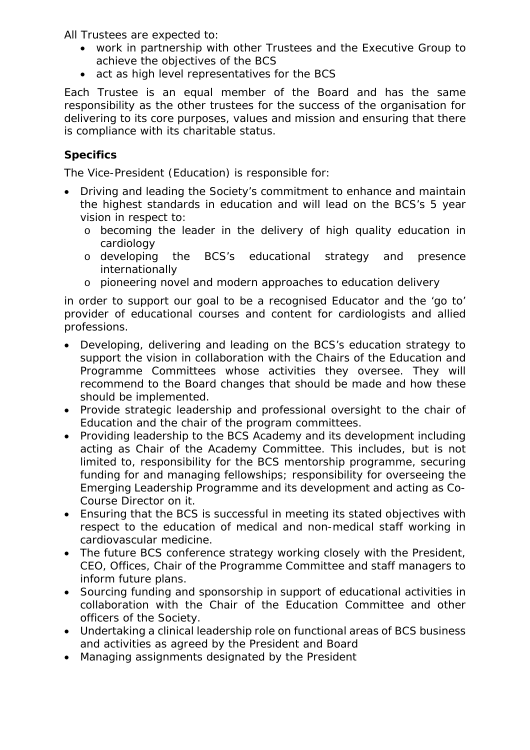All Trustees are expected to:

- work in partnership with other Trustees and the Executive Group to achieve the objectives of the BCS
- act as high level representatives for the BCS

Each Trustee is an equal member of the Board and has the same responsibility as the other trustees for the success of the organisation for delivering to its core purposes, values and mission and ensuring that there is compliance with its charitable status.

## *Specifics*

The Vice-President (Education) is responsible for:

- Driving and leading the Society's commitment to enhance and maintain the highest standards in education and will lead on the BCS's 5 year vision in respect to:
	- o becoming the leader in the delivery of high quality education in cardiology
	- o developing the BCS's educational strategy and presence internationally
	- o pioneering novel and modern approaches to education delivery

in order to support our goal to be a recognised Educator and the 'go to' provider of educational courses and content for cardiologists and allied professions.

- Developing, delivering and leading on the BCS's education strategy to support the vision in collaboration with the Chairs of the Education and Programme Committees whose activities they oversee. They will recommend to the Board changes that should be made and how these should be implemented.
- Provide strategic leadership and professional oversight to the chair of Education and the chair of the program committees.
- Providing leadership to the BCS Academy and its development including acting as Chair of the Academy Committee. This includes, but is not limited to, responsibility for the BCS mentorship programme, securing funding for and managing fellowships; responsibility for overseeing the Emerging Leadership Programme and its development and acting as Co-Course Director on it.
- Ensuring that the BCS is successful in meeting its stated objectives with respect to the education of medical and non-medical staff working in cardiovascular medicine.
- The future BCS conference strategy working closely with the President, CEO, Offices, Chair of the Programme Committee and staff managers to inform future plans.
- Sourcing funding and sponsorship in support of educational activities in collaboration with the Chair of the Education Committee and other officers of the Society.
- Undertaking a clinical leadership role on functional areas of BCS business and activities as agreed by the President and Board
- Managing assignments designated by the President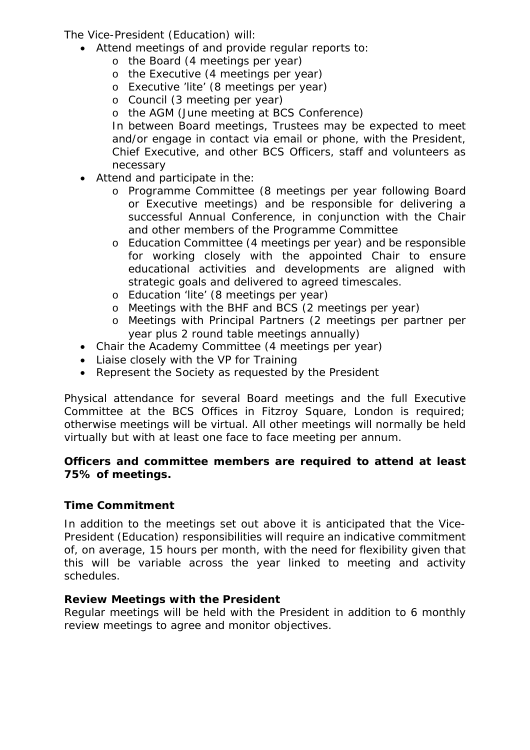The Vice-President (Education) will:

- Attend meetings of and provide regular reports to:
	- o the Board (4 meetings per year)
	- o the Executive (4 meetings per year)
	- o Executive 'lite' (8 meetings per year)
	- o Council (3 meeting per year)
	- o the AGM (June meeting at BCS Conference)

In between Board meetings, Trustees may be expected to meet and/or engage in contact via email or phone, with the President, Chief Executive, and other BCS Officers, staff and volunteers as necessary

- Attend and participate in the:
	- o Programme Committee (8 meetings per year following Board or Executive meetings) and be responsible for delivering a successful Annual Conference, in conjunction with the Chair and other members of the Programme Committee
	- o Education Committee (4 meetings per year) and be responsible for working closely with the appointed Chair to ensure educational activities and developments are aligned with strategic goals and delivered to agreed timescales.
	- o Education 'lite' (8 meetings per year)
	- o Meetings with the BHF and BCS (2 meetings per year)
	- o Meetings with Principal Partners (2 meetings per partner per year plus 2 round table meetings annually)
- Chair the Academy Committee (4 meetings per year)
- Liaise closely with the VP for Training
- Represent the Society as requested by the President

Physical attendance for several Board meetings and the full Executive Committee at the BCS Offices in Fitzroy Square, London is required; otherwise meetings will be virtual. All other meetings will normally be held virtually but with at least one face to face meeting per annum.

#### *Officers and committee members are required to attend at least 75% of meetings.*

## *Time Commitment*

In addition to the meetings set out above it is anticipated that the Vice-President (Education) responsibilities will require an indicative commitment of, on average, 15 hours per month, with the need for flexibility given that this will be variable across the year linked to meeting and activity schedules.

## *Review Meetings with the President*

Regular meetings will be held with the President in addition to 6 monthly review meetings to agree and monitor objectives.